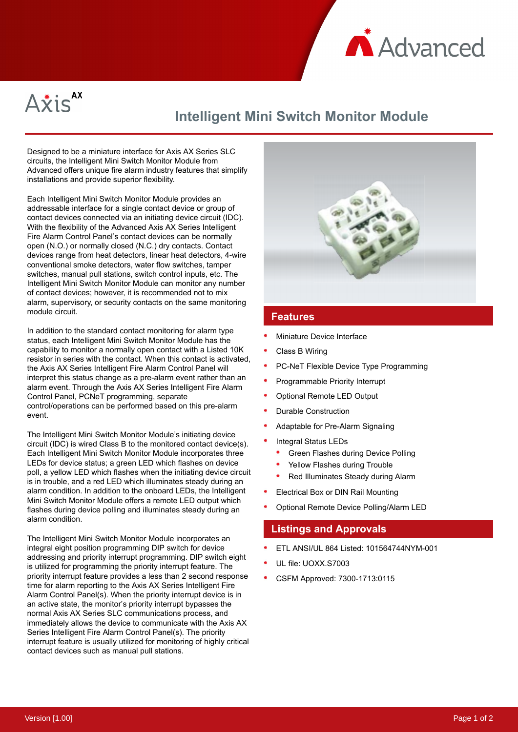



# **Intelligent Mini Switch Monitor Module**

Designed to be a miniature interface for Axis AX Series SLC circuits, the Intelligent Mini Switch Monitor Module from Advanced offers unique fire alarm industry features that simplify installations and provide superior flexibility.

Each Intelligent Mini Switch Monitor Module provides an addressable interface for a single contact device or group of contact devices connected via an initiating device circuit (IDC). With the flexibility of the Advanced Axis AX Series Intelligent Fire Alarm Control Panel's contact devices can be normally open (N.O.) or normally closed (N.C.) dry contacts. Contact devices range from heat detectors, linear heat detectors, 4-wire conventional smoke detectors, water flow switches, tamper switches, manual pull stations, switch control inputs, etc. The Intelligent Mini Switch Monitor Module can monitor any number of contact devices; however, it is recommended not to mix alarm, supervisory, or security contacts on the same monitoring module circuit.

In addition to the standard contact monitoring for alarm type status, each Intelligent Mini Switch Monitor Module has the capability to monitor a normally open contact with a Listed 10K resistor in series with the contact. When this contact is activated, the Axis AX Series Intelligent Fire Alarm Control Panel will interpret this status change as a pre-alarm event rather than an alarm event. Through the Axis AX Series Intelligent Fire Alarm Control Panel, PCNeT programming, separate control/operations can be performed based on this pre-alarm event.

The Intelligent Mini Switch Monitor Module's initiating device circuit (IDC) is wired Class B to the monitored contact device(s). Each Intelligent Mini Switch Monitor Module incorporates three LEDs for device status; a green LED which flashes on device poll, a yellow LED which flashes when the initiating device circuit is in trouble, and a red LED which illuminates steady during an alarm condition. In addition to the onboard LEDs, the Intelligent Mini Switch Monitor Module offers a remote LED output which flashes during device polling and illuminates steady during an alarm condition.

The Intelligent Mini Switch Monitor Module incorporates an integral eight position programming DIP switch for device addressing and priority interrupt programming. DIP switch eight is utilized for programming the priority interrupt feature. The priority interrupt feature provides a less than 2 second response time for alarm reporting to the Axis AX Series Intelligent Fire Alarm Control Panel(s). When the priority interrupt device is in an active state, the monitor's priority interrupt bypasses the normal Axis AX Series SLC communications process, and immediately allows the device to communicate with the Axis AX Series Intelligent Fire Alarm Control Panel(s). The priority interrupt feature is usually utilized for monitoring of highly critical contact devices such as manual pull stations.



#### **Features**

- Miniature Device Interface
- Class B Wiring
- PC-NeT Flexible Device Type Programming
- Programmable Priority Interrupt
- Optional Remote LED Output
- Durable Construction
- Adaptable for Pre-Alarm Signaling
- Integral Status LEDs
	- Green Flashes during Device Polling
	- Yellow Flashes during Trouble
	- Red Illuminates Steady during Alarm
- Electrical Box or DIN Rail Mounting
- Optional Remote Device Polling/Alarm LED

#### **Listings and Approvals**

- ETL ANSI/UL 864 Listed: 101564744NYM-001
- UL file: UOXX.S7003
- CSFM Approved: 7300-1713:0115